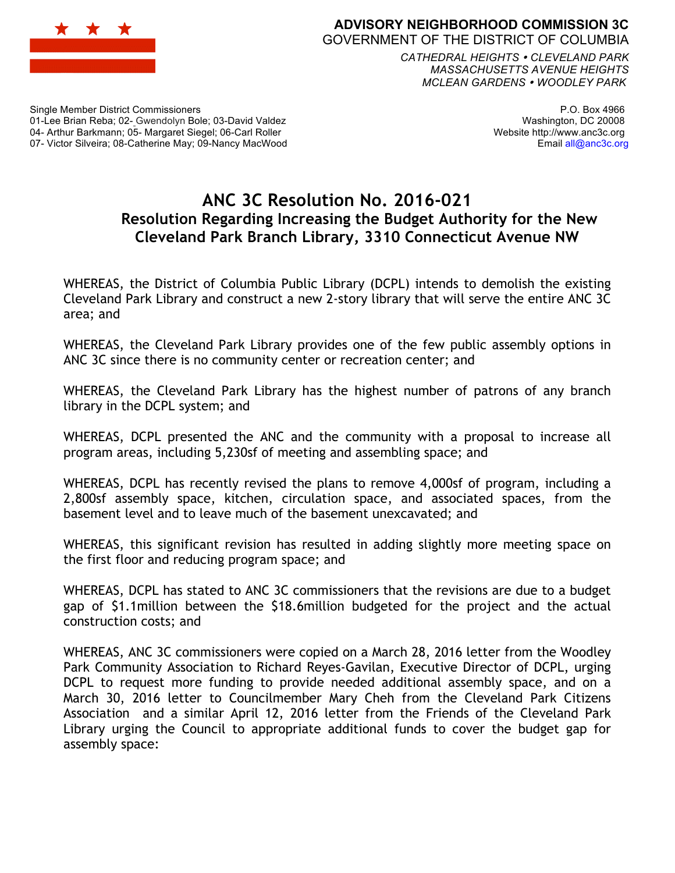

**ADVISORY NEIGHBORHOOD COMMISSION 3C** GOVERNMENT OF THE DISTRICT OF COLUMBIA

> *CATHEDRAL HEIGHTS CLEVELAND PARK MASSACHUSETTS AVENUE HEIGHTS MCLEAN GARDENS WOODLEY PARK*

Single Member District Commissioners 01-Lee Brian Reba; 02- Gwendolyn Bole; 03-David Valdez 04- Arthur Barkmann; 05- Margaret Siegel; 06-Carl Roller 07- Victor Silveira; 08-Catherine May; 09-Nancy MacWood

P.O. Box 4966 Washington, DC 20008 Website http://www.anc3c.org Email all@anc3c.org

## **ANC 3C Resolution No. 2016-021 Resolution Regarding Increasing the Budget Authority for the New Cleveland Park Branch Library, 3310 Connecticut Avenue NW**

WHEREAS, the District of Columbia Public Library (DCPL) intends to demolish the existing Cleveland Park Library and construct a new 2-story library that will serve the entire ANC 3C area; and

WHEREAS, the Cleveland Park Library provides one of the few public assembly options in ANC 3C since there is no community center or recreation center; and

WHEREAS, the Cleveland Park Library has the highest number of patrons of any branch library in the DCPL system; and

WHEREAS, DCPL presented the ANC and the community with a proposal to increase all program areas, including 5,230sf of meeting and assembling space; and

WHEREAS, DCPL has recently revised the plans to remove 4,000sf of program, including a 2,800sf assembly space, kitchen, circulation space, and associated spaces, from the basement level and to leave much of the basement unexcavated; and

WHEREAS, this significant revision has resulted in adding slightly more meeting space on the first floor and reducing program space; and

WHEREAS, DCPL has stated to ANC 3C commissioners that the revisions are due to a budget gap of \$1.1million between the \$18.6million budgeted for the project and the actual construction costs; and

WHEREAS, ANC 3C commissioners were copied on a March 28, 2016 letter from the Woodley Park Community Association to Richard Reyes-Gavilan, Executive Director of DCPL, urging DCPL to request more funding to provide needed additional assembly space, and on a March 30, 2016 letter to Councilmember Mary Cheh from the Cleveland Park Citizens Association and a similar April 12, 2016 letter from the Friends of the Cleveland Park Library urging the Council to appropriate additional funds to cover the budget gap for assembly space: